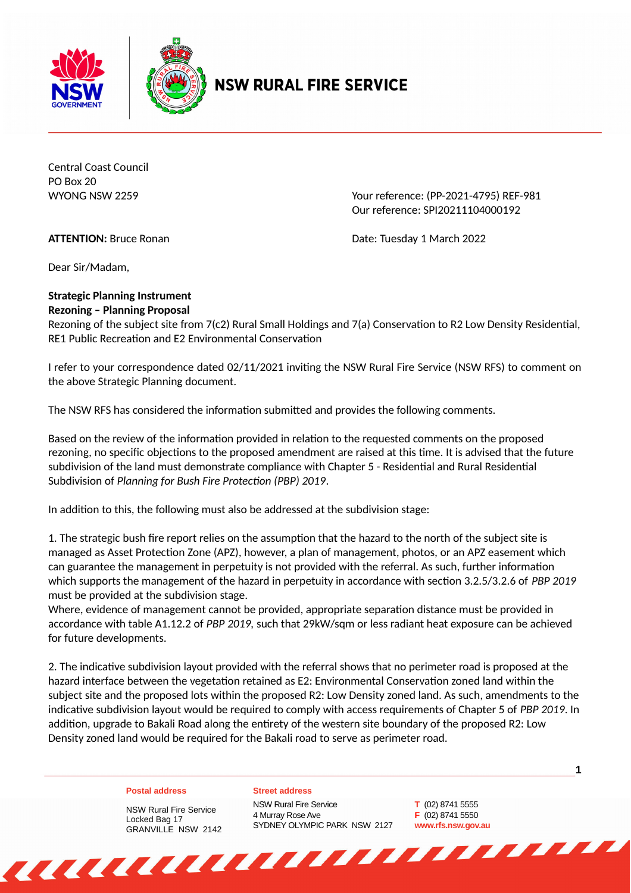



## **NSW RURAL FIRE SERVICE**

Central Coast Council PO Box 20

WYONG NSW 2259 Your reference: (PP-2021-4795) REF-981 Our reference: SPI20211104000192

**ATTENTION:** Bruce Ronan **Date: Tuesday 1 March 2022** 

Dear Sir/Madam,

## **Strategic Planning Instrument Rezoning – Planning Proposal**

Rezoning of the subject site from 7(c2) Rural Small Holdings and 7(a) Conservation to R2 Low Density Residential, RE1 Public Recreation and E2 Environmental Conservation

I refer to your correspondence dated 02/11/2021 inviting the NSW Rural Fire Service (NSW RFS) to comment on the above Strategic Planning document.

The NSW RFS has considered the information submitted and provides the following comments.

Based on the review of the information provided in relation to the requested comments on the proposed rezoning, no specific objections to the proposed amendment are raised at this time. It is advised that the future subdivision of the land must demonstrate compliance with Chapter 5 - Residential and Rural Residential Subdivision of *Planning for Bush Fire Protection (PBP) 2019*.

In addition to this, the following must also be addressed at the subdivision stage:

1. The strategic bush fire report relies on the assumption that the hazard to the north of the subject site is managed as Asset Protection Zone (APZ), however, a plan of management, photos, or an APZ easement which can guarantee the management in perpetuity is not provided with the referral. As such, further information which supports the management of the hazard in perpetuity in accordance with section 3.2.5/3.2.6 of *PBP 2019* must be provided at the subdivision stage.

Where, evidence of management cannot be provided, appropriate separation distance must be provided in accordance with table A1.12.2 of *PBP 2019,* such that 29kW/sqm or less radiant heat exposure can be achieved for future developments.

2. The indicative subdivision layout provided with the referral shows that no perimeter road is proposed at the hazard interface between the vegetation retained as E2: Environmental Conservation zoned land within the subject site and the proposed lots within the proposed R2: Low Density zoned land. As such, amendments to the indicative subdivision layout would be required to comply with access requirements of Chapter 5 of *PBP 2019*. In addition, upgrade to Bakali Road along the entirety of the western site boundary of the proposed R2: Low Density zoned land would be required for the Bakali road to serve as perimeter road.

## **Postal address**

NSW Rural Fire Service Locked Bag 17

**Street address**  NSW Rural Fire Service 4 Murray Rose Ave SYDNEY OLYMPIC PARK NSW 2127

**T** (02) 8741 5555 **F** (02) 8741 5550 **www.rfs.nsw.gov.au** **1**